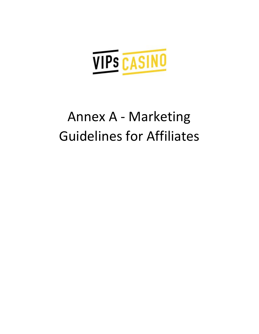

# Annex A - Marketing Guidelines for Affiliates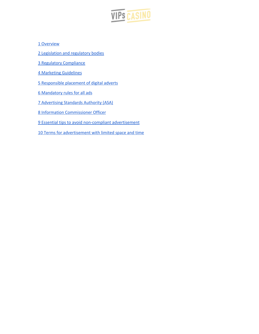

Overview

[Legislation](#page-2-0) and regulatory bodies

Regulatory [Compliance](#page-2-1)

Marketing [Guidelines](#page-3-0)

[Responsible](#page-3-1) placement of digital adverts

[Mandatory](#page-3-2) rules for all ads

[Advertising](#page-3-3) Standards Authority (ASA)

Information [Commissioner](#page-6-0) Officer

Essential tips to avoid [non-compliant](#page-7-0) advertisement

10 Terms for [advertisement](#page-8-0) with limited space and time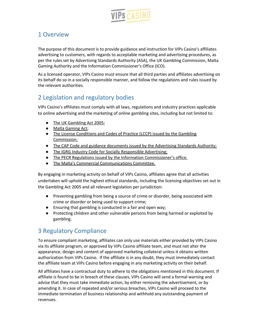

# 1 Overview

The purpose of this document is to provide guidance and instruction for VIPs Casino's affiliates advertising to customers, with regards to acceptable marketing and advertising procedures, as per the rules set by Advertising Standards Authority (ASA), the UK Gambling Commission, Malta Gaming Authority and the Information Commissioner's Office (ICO).

As a licensed operator, VIPs Casino must ensure that all third parties and affiliates advertising on its behalf do so in a socially responsible manner, and follow the regulations and rules issued by the relevant authorities.

# <span id="page-2-0"></span>2 Legislation and regulatory bodies

VIPs Casino's affiliates must comply with all laws, regulations and industry practices applicable to online advertising and the marketing of online gambling sites, including but not limited to:

- The UK [Gambling](http://www.legislation.gov.uk/ukpga/2005/19/contents) Act 2005;
- Malta [Gaming](http://www.justiceservices.gov.mt/DownloadDocument.aspx?app=lom&itemid=12832&l=1) Act;
- The License [Conditions](https://www.gamblingcommission.gov.uk/for-gambling-businesses/Compliance/LCCP/Licence-conditions-and-codes-of-practice.aspx) and Codes of Practice (LCCP) issued by the Gambling [Commission;](https://www.gamblingcommission.gov.uk/for-gambling-businesses/Compliance/LCCP/Licence-conditions-and-codes-of-practice.aspx)
- The CAP Code and guidance documents issued by the [Advertising](https://www.asa.org.uk/codes-and-rulings/advertising-codes.html) Standards Authority;
- The IGRG Industry Code for Socially [Responsible](http://igrg.org.uk/wp/wp-content/uploads/2015/12/Gambling-Industry-Code-for-Socially-Responsible-Advertising-Final-2nd-Edition-August-2015.pdf) Advertising;
- The PECR Regulations issued by the Information [Commissioner's](https://ico.org.uk/for-organisations/guide-to-pecr/what-are-pecr/) office.
- The Malta's Commercial [Communications](https://www.mga.org.mt/wp-content/uploads/Commercial-Communications-Committee-Guidelines-1.pdf) Committee.

By engaging in marketing activity on behalf of VIPs Casino, affiliates agree that all activities undertaken will uphold the highest ethical standards, including the licensing objectives set out in the Gambling Act 2005 and all relevant legislation per jurisdiction:

- Preventing gambling from being a source of crime or disorder, being associated with crime or disorder or being used to support crime;
- Ensuring that gambling is conducted in a fair and open way;
- Protecting children and other vulnerable persons from being harmed or exploited by gambling.

# <span id="page-2-1"></span>3 Regulatory Compliance

To ensure compliant marketing, affiliates can only use materials either provided by VIPs Casino via its affiliate program, or approved by VIPs Casino affiliate team, and must not alter the appearance, design and content of approved marketing collateral unless it obtains written authorization from VIPs Casino. If the affiliate is in any doubt, they must immediately contact the affiliate team at VIPs Casino before engaging in any marketing activity on their behalf.

All affiliates have a contractual duty to adhere to the obligations mentioned in this document. If affiliate is found to be in breach of these clauses, VIPs Casino will send a formal warning and advise that they must take immediate action, by either removing the advertisement, or by amending it. In case of repeated and/or serious breaches, VIPs Casino will proceed to the immediate termination of business relationship and withhold any outstanding payment of revenues.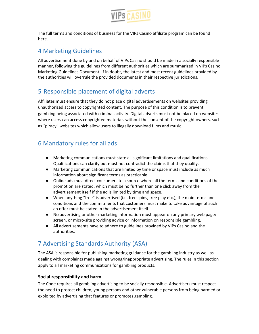

The full terms and conditions of business for the VIPs Casino affiliate program can be found [here](https://affiliates.vipscasino.com/termsandconditions.aspx).

# <span id="page-3-0"></span>4 Marketing Guidelines

All advertisement done by and on behalf of VIPs Casino should be made in a socially responsible manner, following the guidelines from different authorities which are summarized in VIPs Casino Marketing Guidelines Document. If in doubt, the latest and most recent guidelines provided by the authorities will overrule the provided documents in their respective jurisdictions.

# <span id="page-3-1"></span>5 Responsible placement of digital adverts

Affiliates must ensure that they do not place digital advertisements on websites providing unauthorized access to copyrighted content. The purpose of this condition is to prevent gambling being associated with criminal activity. Digital adverts must not be placed on websites where users can access copyrighted materials without the consent of the copyright owners, such as "piracy" websites which allow users to illegally download films and music.

# <span id="page-3-2"></span>6 Mandatory rules for all ads

- Marketing communications must state all significant limitations and qualifications. Qualifications can clarify but must not contradict the claims that they qualify.
- Marketing communications that are limited by time or space must include as much information about significant terms as practicable
- Online ads must direct consumers to a source where all the terms and conditions of the promotion are stated, which must be no further than one click away from the advertisement itself if the ad is limited by time and space.
- When anything "free" is advertised (i.e. free spins, free play etc.), the main terms and conditions and the commitments that customers must make to take advantage of such an offer must be stated in the advertisement itself.
- No advertising or other marketing information must appear on any primary web page/ screen, or micro-site providing advice or information on responsible gambling.
- All advertisements have to adhere to guidelines provided by VIPs Casino and the authorities.

# <span id="page-3-3"></span>7 Advertising Standards Authority (ASA)

The ASA is responsible for publishing marketing guidance for the gambling industry as well as dealing with complaints made against wrong/inappropriate advertising. The rules in this section apply to all marketing communications for gambling products.

# **Social responsibility and harm**

The Code requires all gambling advertising to be socially responsible. Advertisers must respect the need to protect children, young persons and other vulnerable persons from being harmed or exploited by advertising that features or promotes gambling.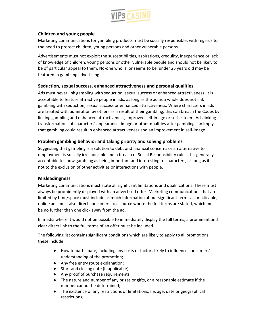

## **Children and young people**

Marketing communications for gambling products must be socially responsible, with regards to the need to protect children, young persons and other vulnerable persons.

Advertisements must not exploit the susceptibilities, aspirations, credulity, inexperience or lack of knowledge of children, young persons or other vulnerable people and should not be likely to be of particular appeal to them. No-one who is, or seems to be, under 25 years old may be featured in gambling advertising.

## **Seduction, sexual success, enhanced attractiveness and personal qualities**

Ads must never link gambling with seduction, sexual success or enhanced attractiveness. It is acceptable to feature attractive people in ads, as long as the ad as a whole does not link gambling with seduction, sexual success or enhanced attractiveness. Where characters in ads are treated with admiration by others as a result of their gambling, this can breach the Codes by linking gambling and enhanced attractiveness, improved self-image or self-esteem. Ads linking transformations of characters' appearance, image or other qualities after gambling can imply that gambling could result in enhanced attractiveness and an improvement in self-image.

## **Problem gambling behavior and taking priority and solving problems**

Suggesting that gambling is a solution to debt and financial concerns or an alternative to employment is socially irresponsible and a breach of Social Responsibility rules. It is generally acceptable to show gambling as being important and interesting to characters, as long as it is not to the exclusion of other activities or interactions with people.

## **Misleadingness**

Marketing communications must state all significant limitations and qualifications. These must always be prominently displayed with an advertised offer. Marketing communications that are limited by time/space must include as much information about significant terms as practicable; online ads must also direct consumers to a source where the full terms are stated, which must be no further than one click away from the ad.

In media where it would not be possible to immediately display the full terms, a prominent and clear direct link to the full terms of an offer must be included.

The following list contains significant conditions which are likely to apply to all promotions; these include:

- How to participate, including any costs or factors likely to influence consumers' understanding of the promotion;
- Any free entry route explanation;
- Start and closing date (if applicable);
- Any proof of purchase requirements;
- The nature and number of any prizes or gifts, or a reasonable estimate if the number cannot be determined;
- The existence of any restrictions or limitations, i.e. age, date or geographical restrictions;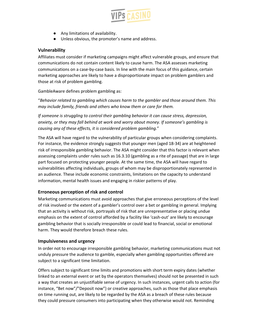

- Any limitations of availability.
- Unless obvious, the promoter's name and address.

## **Vulnerability**

Affiliates must consider if marketing campaigns might affect vulnerable groups, and ensure that communications do not contain content likely to cause harm. The ASA assesses marketing communications on a case-by-case basis. In line with the main focus of this guidance, certain marketing approaches are likely to have a disproportionate impact on problem gamblers and those at risk of problem gambling.

GambleAware defines problem gambling as:

"*Behavior related to gambling which causes harm to the gambler and those around them. This may include family, friends and others who know them or care for them.*

*If someone is struggling to control their gambling behavior it can cause stress, depression, anxiety, or they may fall behind at work and worry about money. If someone's gambling is causing any of these effects, it is considered problem gambling.*"

The ASA will have regard to the vulnerability of particular groups when considering complaints. For instance, the evidence strongly suggests that younger men (aged 18-34) are at heightened risk of irresponsible gambling behavior. The ASA might consider that this factor is relevant when assessing complaints under rules such as 16.3.10 (gambling as a rite of passage) that are in large part focused on protecting younger people. At the same time, the ASA will have regard to vulnerabilities affecting individuals, groups of whom may be disproportionately represented in an audience. These include economic constraints, limitations on the capacity to understand information, mental health issues and engaging in riskier patterns of play.

## **Erroneous perception of risk and control**

Marketing communications must avoid approaches that give erroneous perceptions of the level of risk involved or the extent of a gambler's control over a bet or gambling in general. Implying that an activity is without risk, portrayals of risk that are unrepresentative or placing undue emphasis on the extent of control afforded by a facility like 'cash-out' are likely to encourage gambling behavior that is socially irresponsible or could lead to financial, social or emotional harm. They would therefore breach these rules.

## **Impulsiveness and urgency**

In order not to encourage irresponsible gambling behavior, marketing communications must not unduly pressure the audience to gamble, especially when gambling opportunities offered are subject to a significant time limitation.

Offers subject to significant time limits and promotions with short term expiry dates (whether linked to an external event or set by the operators themselves) should not be presented in such a way that creates an unjustifiable sense of urgency. In such instances, urgent calls to action (for instance, "Bet now"/"Deposit now") or creative approaches, such as those that place emphasis on time running out, are likely to be regarded by the ASA as a breach of these rules because they could pressure consumers into participating when they otherwise would not. Reminding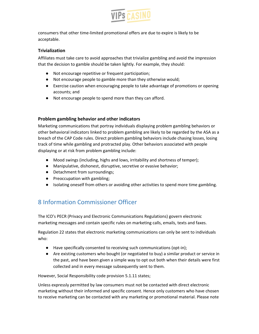

consumers that other time-limited promotional offers are due to expire is likely to be acceptable.

## **Trivialization**

Affiliates must take care to avoid approaches that trivialize gambling and avoid the impression that the decision to gamble should be taken lightly. For example, they should:

- Not encourage repetitive or frequent participation;
- Not encourage people to gamble more than they otherwise would;
- Exercise caution when encouraging people to take advantage of promotions or opening accounts; and
- Not encourage people to spend more than they can afford.

## **Problem gambling behavior and other indicators**

Marketing communications that portray individuals displaying problem gambling behaviors or other behavioral indicators linked to problem gambling are likely to be regarded by the ASA as a breach of the CAP Code rules. Direct problem gambling behaviors include chasing losses, losing track of time while gambling and protracted play. Other behaviors associated with people displaying or at risk from problem gambling include:

- Mood swings (including, highs and lows, irritability and shortness of temper);
- Manipulative, dishonest, disruptive, secretive or evasive behavior;
- Detachment from surroundings;
- Preoccupation with gambling;
- Isolating oneself from others or avoiding other activities to spend more time gambling.

# <span id="page-6-0"></span>8 Information Commissioner Officer

The ICO's PECR (Privacy and Electronic Communications Regulations) govern electronic marketing messages and contain specific rules on marketing calls, emails, texts and faxes.

Regulation 22 states that electronic marketing communications can only be sent to individuals who:

- Have specifically consented to receiving such communications (opt-in);
- Are existing customers who bought (or negotiated to buy) a similar product or service in the past, and have been given a simple way to opt out both when their details were first collected and in every message subsequently sent to them.

However, Social Responsibility code provision 5.1.11 states;

Unless expressly permitted by law consumers must not be contacted with direct electronic marketing without their informed and specific consent. Hence only customers who have chosen to receive marketing can be contacted with any marketing or promotional material. Please note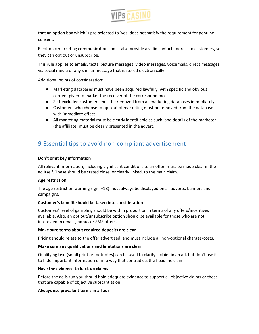

that an option box which is pre-selected to 'yes' does not satisfy the requirement for genuine consent.

Electronic marketing communications must also provide a valid contact address to customers, so they can opt out or unsubscribe.

This rule applies to emails, texts, picture messages, video messages, voicemails, direct messages via social media or any similar message that is stored electronically.

Additional points of consideration:

- Marketing databases must have been acquired lawfully, with specific and obvious content given to market the receiver of the correspondence.
- Self-excluded customers must be removed from all marketing databases immediately.
- Customers who choose to opt-out of marketing must be removed from the database with immediate effect.
- All marketing material must be clearly identifiable as such, and details of the marketer (the affiliate) must be clearly presented in the advert.

# <span id="page-7-0"></span>9 Essential tips to avoid non-compliant advertisement

## **Don't omit key information**

All relevant information, including significant conditions to an offer, must be made clear in the ad itself. These should be stated close, or clearly linked, to the main claim.

## **Age restriction**

The age restriction warning sign (+18) must always be displayed on all adverts, banners and campaigns.

## **Customer's benefit should be taken into consideration**

Customers' level of gambling should be within proportion in terms of any offers/incentives available. Also, an opt out/unsubscribe option should be available for those who are not interested in emails, bonus or SMS offers.

## **Make sure terms about required deposits are clear**

Pricing should relate to the offer advertised, and must include all non-optional charges/costs.

## **Make sure any qualifications and limitations are clear**

Qualifying text (small print or footnotes) can be used to clarify a claim in an ad, but don't use it to hide important information or in a way that contradicts the headline claim.

## **Have the evidence to back up claims**

Before the ad is run you should hold adequate evidence to support all objective claims or those that are capable of objective substantiation.

## **Always use prevalent terms in all ads**